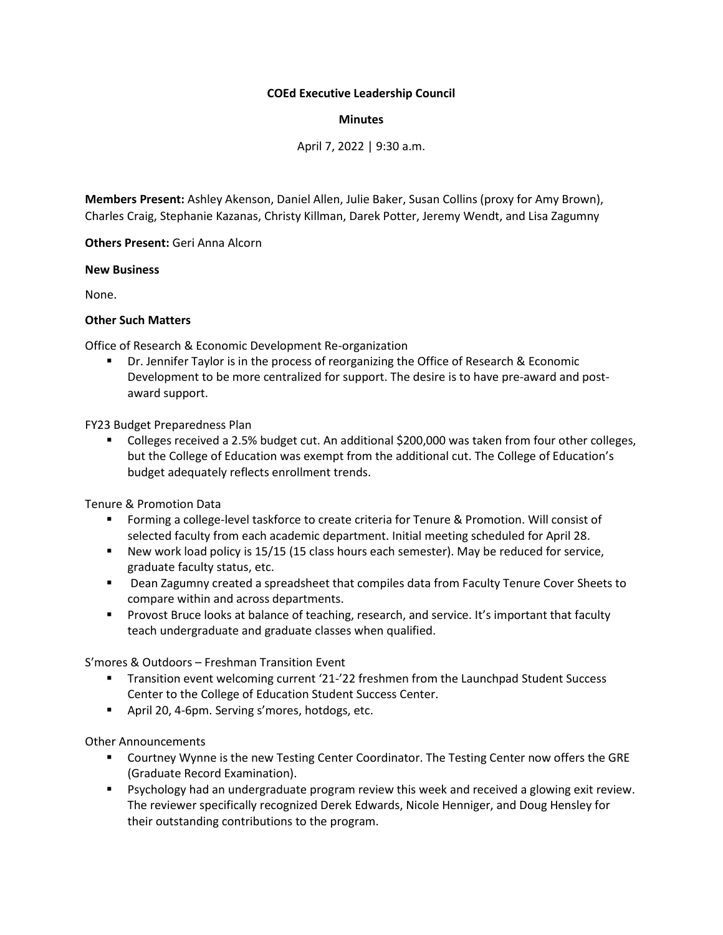## **COEd Executive Leadership Council**

## **Minutes**

April 7, 2022 | 9:30 a.m.

**Members Present:** Ashley Akenson, Daniel Allen, Julie Baker, Susan Collins (proxy for Amy Brown), Charles Craig, Stephanie Kazanas, Christy Killman, Darek Potter, Jeremy Wendt, and Lisa Zagumny

**Others Present:** Geri Anna Alcorn

## **New Business**

None.

## **Other Such Matters**

Office of Research & Economic Development Re-organization

Dr. Jennifer Taylor is in the process of reorganizing the Office of Research & Economic Development to be more centralized for support. The desire is to have pre-award and postaward support.

FY23 Budget Preparedness Plan

■ Colleges received a 2.5% budget cut. An additional \$200,000 was taken from four other colleges, but the College of Education was exempt from the additional cut. The College of Education's budget adequately reflects enrollment trends.

Tenure & Promotion Data

- **■** Forming a college-level taskforce to create criteria for Tenure & Promotion. Will consist of selected faculty from each academic department. Initial meeting scheduled for April 28.
- New work load policy is 15/15 (15 class hours each semester). May be reduced for service, graduate faculty status, etc.
- Dean Zagumny created a spreadsheet that compiles data from Faculty Tenure Cover Sheets to compare within and across departments.
- **•** Provost Bruce looks at balance of teaching, research, and service. It's important that faculty teach undergraduate and graduate classes when qualified.

S'mores & Outdoors – Freshman Transition Event

- Transition event welcoming current '21-'22 freshmen from the Launchpad Student Success Center to the College of Education Student Success Center.
- April 20, 4-6pm. Serving s'mores, hotdogs, etc.

Other Announcements

- Courtney Wynne is the new Testing Center Coordinator. The Testing Center now offers the GRE (Graduate Record Examination).
- Psychology had an undergraduate program review this week and received a glowing exit review. The reviewer specifically recognized Derek Edwards, Nicole Henniger, and Doug Hensley for their outstanding contributions to the program.